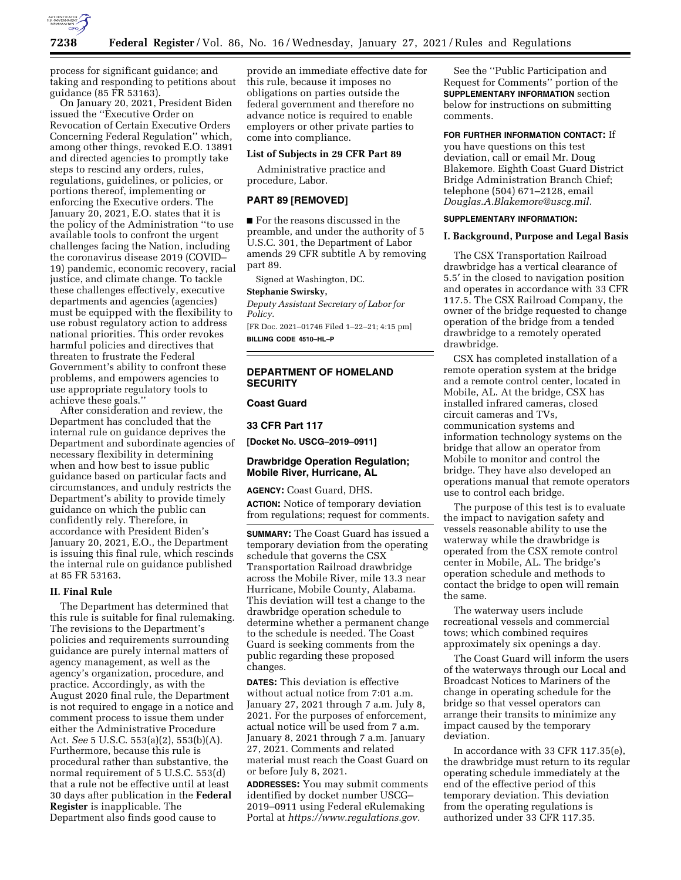

process for significant guidance; and taking and responding to petitions about guidance (85 FR 53163).

On January 20, 2021, President Biden issued the ''Executive Order on Revocation of Certain Executive Orders Concerning Federal Regulation'' which, among other things, revoked E.O. 13891 and directed agencies to promptly take steps to rescind any orders, rules, regulations, guidelines, or policies, or portions thereof, implementing or enforcing the Executive orders. The January 20, 2021, E.O. states that it is the policy of the Administration ''to use available tools to confront the urgent challenges facing the Nation, including the coronavirus disease 2019 (COVID– 19) pandemic, economic recovery, racial justice, and climate change. To tackle these challenges effectively, executive departments and agencies (agencies) must be equipped with the flexibility to use robust regulatory action to address national priorities. This order revokes harmful policies and directives that threaten to frustrate the Federal Government's ability to confront these problems, and empowers agencies to use appropriate regulatory tools to achieve these goals.''

After consideration and review, the Department has concluded that the internal rule on guidance deprives the Department and subordinate agencies of necessary flexibility in determining when and how best to issue public guidance based on particular facts and circumstances, and unduly restricts the Department's ability to provide timely guidance on which the public can confidently rely. Therefore, in accordance with President Biden's January 20, 2021, E.O., the Department is issuing this final rule, which rescinds the internal rule on guidance published at 85 FR 53163.

#### **II. Final Rule**

The Department has determined that this rule is suitable for final rulemaking. The revisions to the Department's policies and requirements surrounding guidance are purely internal matters of agency management, as well as the agency's organization, procedure, and practice. Accordingly, as with the August 2020 final rule, the Department is not required to engage in a notice and comment process to issue them under either the Administrative Procedure Act. *See* 5 U.S.C. 553(a)(2), 553(b)(A). Furthermore, because this rule is procedural rather than substantive, the normal requirement of 5 U.S.C. 553(d) that a rule not be effective until at least 30 days after publication in the **Federal Register** is inapplicable. The Department also finds good cause to

provide an immediate effective date for this rule, because it imposes no obligations on parties outside the federal government and therefore no advance notice is required to enable employers or other private parties to come into compliance.

### **List of Subjects in 29 CFR Part 89**

Administrative practice and procedure, Labor.

# **PART 89 [REMOVED]**

■ For the reasons discussed in the preamble, and under the authority of 5 U.S.C. 301, the Department of Labor amends 29 CFR subtitle A by removing part 89.

Signed at Washington, DC.

#### **Stephanie Swirsky,**

*Deputy Assistant Secretary of Labor for Policy.* 

[FR Doc. 2021–01746 Filed 1–22–21; 4:15 pm] **BILLING CODE 4510–HL–P** 

## **DEPARTMENT OF HOMELAND SECURITY**

#### **Coast Guard**

**33 CFR Part 117** 

**[Docket No. USCG–2019–0911]** 

### **Drawbridge Operation Regulation; Mobile River, Hurricane, AL**

**AGENCY:** Coast Guard, DHS. **ACTION:** Notice of temporary deviation from regulations; request for comments.

**SUMMARY:** The Coast Guard has issued a temporary deviation from the operating schedule that governs the CSX Transportation Railroad drawbridge across the Mobile River, mile 13.3 near Hurricane, Mobile County, Alabama. This deviation will test a change to the drawbridge operation schedule to determine whether a permanent change to the schedule is needed. The Coast Guard is seeking comments from the public regarding these proposed changes.

**DATES:** This deviation is effective without actual notice from 7:01 a.m. January 27, 2021 through 7 a.m. July 8, 2021. For the purposes of enforcement, actual notice will be used from 7 a.m. January 8, 2021 through 7 a.m. January 27, 2021. Comments and related material must reach the Coast Guard on or before July 8, 2021.

**ADDRESSES:** You may submit comments identified by docket number USCG– 2019–0911 using Federal eRulemaking Portal at *[https://www.regulations.gov.](https://www.regulations.gov)* 

See the ''Public Participation and Request for Comments'' portion of the **SUPPLEMENTARY INFORMATION** section below for instructions on submitting comments.

**FOR FURTHER INFORMATION CONTACT:** If

you have questions on this test deviation, call or email Mr. Doug Blakemore. Eighth Coast Guard District Bridge Administration Branch Chief; telephone (504) 671–2128, email *[Douglas.A.Blakemore@uscg.mil.](mailto:Douglas.A.Blakemore@uscg.mil)* 

#### **SUPPLEMENTARY INFORMATION:**

### **I. Background, Purpose and Legal Basis**

The CSX Transportation Railroad drawbridge has a vertical clearance of 5.5′ in the closed to navigation position and operates in accordance with 33 CFR 117.5. The CSX Railroad Company, the owner of the bridge requested to change operation of the bridge from a tended drawbridge to a remotely operated drawbridge.

CSX has completed installation of a remote operation system at the bridge and a remote control center, located in Mobile, AL. At the bridge, CSX has installed infrared cameras, closed circuit cameras and TVs, communication systems and information technology systems on the bridge that allow an operator from Mobile to monitor and control the bridge. They have also developed an operations manual that remote operators use to control each bridge.

The purpose of this test is to evaluate the impact to navigation safety and vessels reasonable ability to use the waterway while the drawbridge is operated from the CSX remote control center in Mobile, AL. The bridge's operation schedule and methods to contact the bridge to open will remain the same.

The waterway users include recreational vessels and commercial tows; which combined requires approximately six openings a day.

The Coast Guard will inform the users of the waterways through our Local and Broadcast Notices to Mariners of the change in operating schedule for the bridge so that vessel operators can arrange their transits to minimize any impact caused by the temporary deviation.

In accordance with 33 CFR 117.35(e), the drawbridge must return to its regular operating schedule immediately at the end of the effective period of this temporary deviation. This deviation from the operating regulations is authorized under 33 CFR 117.35.